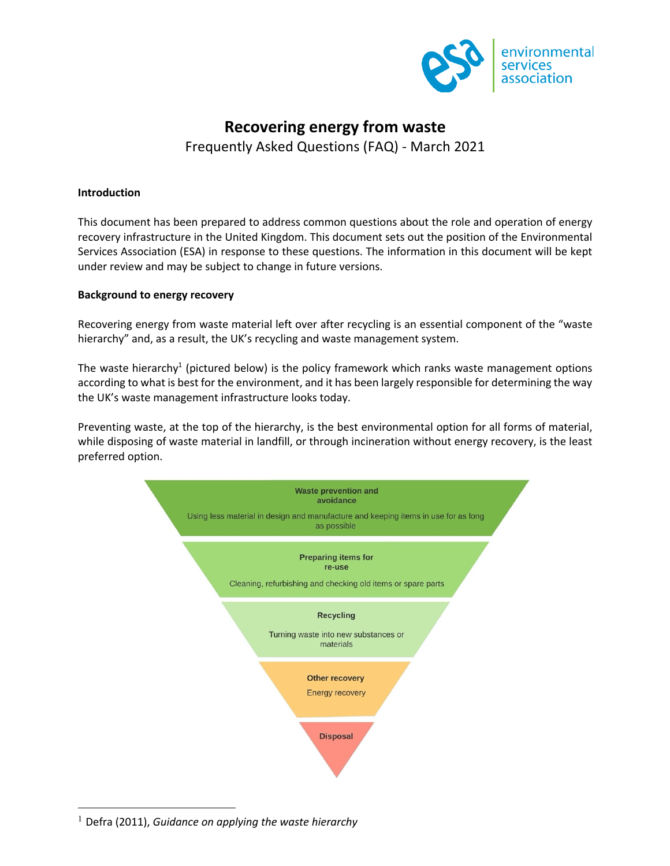

# **Recovering energy from waste** Frequently Asked Questions (FAQ) - March 2021

### **Introduction**

This document has been prepared to address common questions about the role and operation of energy recovery infrastructure in the United Kingdom. This document sets out the position of the Environmental Services Association (ESA) in response to these questions. The information in this document will be kept under review and may be subject to change in future versions.

#### **Background to energy recovery**

Recovering energy from waste material left over after recycling is an essential component of the "waste hierarchy" and, as a result, the UK's recycling and waste management system.

The waste hierarchy<sup>1</sup> (pictured below) is the policy framework which ranks waste management options according to what is best for the environment, and it has been largely responsible for determining the way the UK's waste management infrastructure looks today.

Preventing waste, at the top of the hierarchy, is the best environmental option for all forms of material, while disposing of waste material in landfill, or through incineration without energy recovery, is the least preferred option.



<sup>1</sup> Defra (2011), *Guidance on applying the waste hierarchy*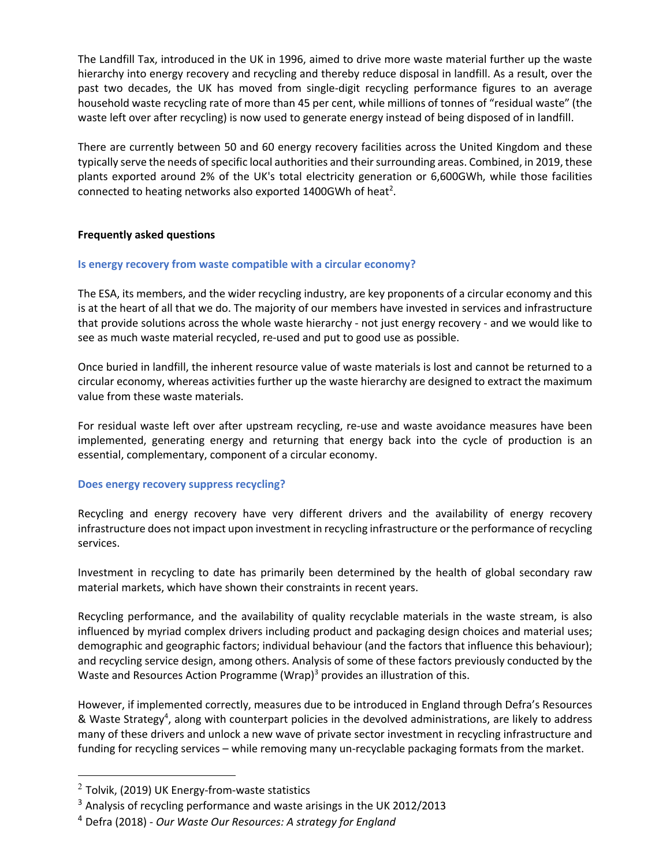The Landfill Tax, introduced in the UK in 1996, aimed to drive more waste material further up the waste hierarchy into energy recovery and recycling and thereby reduce disposal in landfill. As a result, over the past two decades, the UK has moved from single-digit recycling performance figures to an average household waste recycling rate of more than 45 per cent, while millions of tonnes of "residual waste" (the waste left over after recycling) is now used to generate energy instead of being disposed of in landfill.

There are currently between 50 and 60 energy recovery facilities across the United Kingdom and these typically serve the needs of specific local authorities and their surrounding areas. Combined, in 2019, these plants exported around 2% of the UK's total electricity generation or 6,600GWh, while those facilities connected to heating networks also exported 1400GWh of heat<sup>2</sup>.

# **Frequently asked questions**

#### **Is energy recovery from waste compatible with a circular economy?**

The ESA, its members, and the wider recycling industry, are key proponents of a circular economy and this is at the heart of all that we do. The majority of our members have invested in services and infrastructure that provide solutions across the whole waste hierarchy - not just energy recovery - and we would like to see as much waste material recycled, re-used and put to good use as possible.

Once buried in landfill, the inherent resource value of waste materials is lost and cannot be returned to a circular economy, whereas activities further up the waste hierarchy are designed to extract the maximum value from these waste materials.

For residual waste left over after upstream recycling, re-use and waste avoidance measures have been implemented, generating energy and returning that energy back into the cycle of production is an essential, complementary, component of a circular economy.

#### **Does energy recovery suppress recycling?**

Recycling and energy recovery have very different drivers and the availability of energy recovery infrastructure does not impact upon investment in recycling infrastructure or the performance of recycling services.

Investment in recycling to date has primarily been determined by the health of global secondary raw material markets, which have shown their constraints in recent years.

Recycling performance, and the availability of quality recyclable materials in the waste stream, is also influenced by myriad complex drivers including product and packaging design choices and material uses; demographic and geographic factors; individual behaviour (and the factors that influence this behaviour); and recycling service design, among others. Analysis of some of these factors previously conducted by the Waste and Resources Action Programme (Wrap) $3$  provides an illustration of this.

However, if implemented correctly, measures due to be introduced in England through Defra's Resources & Waste Strategy<sup>4</sup>, along with counterpart policies in the devolved administrations, are likely to address many of these drivers and unlock a new wave of private sector investment in recycling infrastructure and funding for recycling services – while removing many un-recyclable packaging formats from the market.

 $2$  Tolvik, (2019) UK Energy-from-waste statistics

<sup>&</sup>lt;sup>3</sup> Analysis of recycling performance and waste arisings in the UK 2012/2013

<sup>4</sup> Defra (2018) - *Our Waste Our Resources: A strategy for England*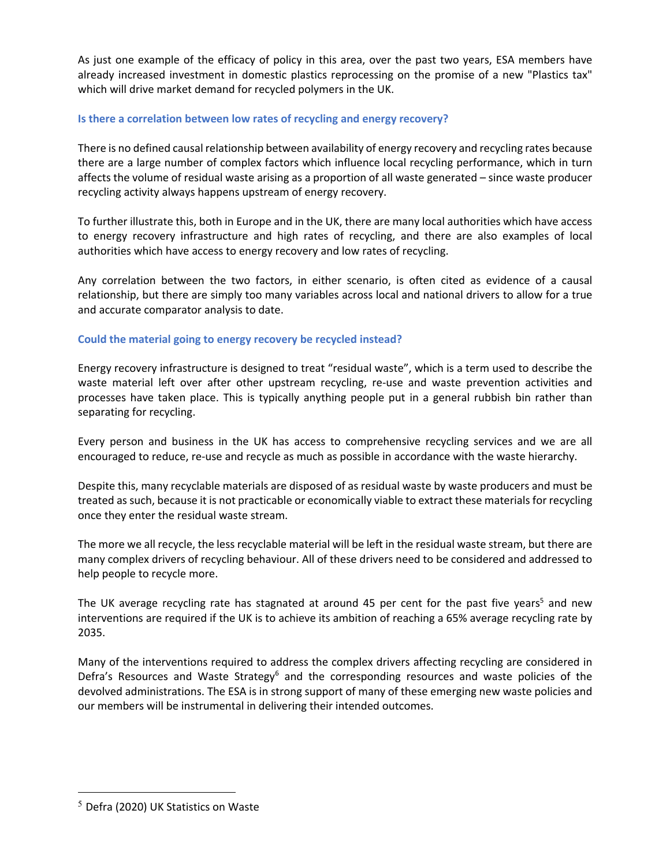As just one example of the efficacy of policy in this area, over the past two years, ESA members have already increased investment in domestic plastics reprocessing on the promise of a new "Plastics tax" which will drive market demand for recycled polymers in the UK.

# **Is there a correlation between low rates of recycling and energy recovery?**

There is no defined causal relationship between availability of energy recovery and recycling rates because there are a large number of complex factors which influence local recycling performance, which in turn affects the volume of residual waste arising as a proportion of all waste generated – since waste producer recycling activity always happens upstream of energy recovery.

To further illustrate this, both in Europe and in the UK, there are many local authorities which have access to energy recovery infrastructure and high rates of recycling, and there are also examples of local authorities which have access to energy recovery and low rates of recycling.

Any correlation between the two factors, in either scenario, is often cited as evidence of a causal relationship, but there are simply too many variables across local and national drivers to allow for a true and accurate comparator analysis to date.

# **Could the material going to energy recovery be recycled instead?**

Energy recovery infrastructure is designed to treat "residual waste", which is a term used to describe the waste material left over after other upstream recycling, re-use and waste prevention activities and processes have taken place. This is typically anything people put in a general rubbish bin rather than separating for recycling.

Every person and business in the UK has access to comprehensive recycling services and we are all encouraged to reduce, re-use and recycle as much as possible in accordance with the waste hierarchy.

Despite this, many recyclable materials are disposed of as residual waste by waste producers and must be treated as such, because it is not practicable or economically viable to extract these materials for recycling once they enter the residual waste stream.

The more we all recycle, the less recyclable material will be left in the residual waste stream, but there are many complex drivers of recycling behaviour. All of these drivers need to be considered and addressed to help people to recycle more.

The UK average recycling rate has stagnated at around 45 per cent for the past five years<sup>5</sup> and new interventions are required if the UK is to achieve its ambition of reaching a 65% average recycling rate by 2035.

Many of the interventions required to address the complex drivers affecting recycling are considered in Defra's Resources and Waste Strategy<sup>6</sup> and the corresponding resources and waste policies of the devolved administrations. The ESA is in strong support of many of these emerging new waste policies and our members will be instrumental in delivering their intended outcomes.

 $<sup>5</sup>$  Defra (2020) UK Statistics on Waste</sup>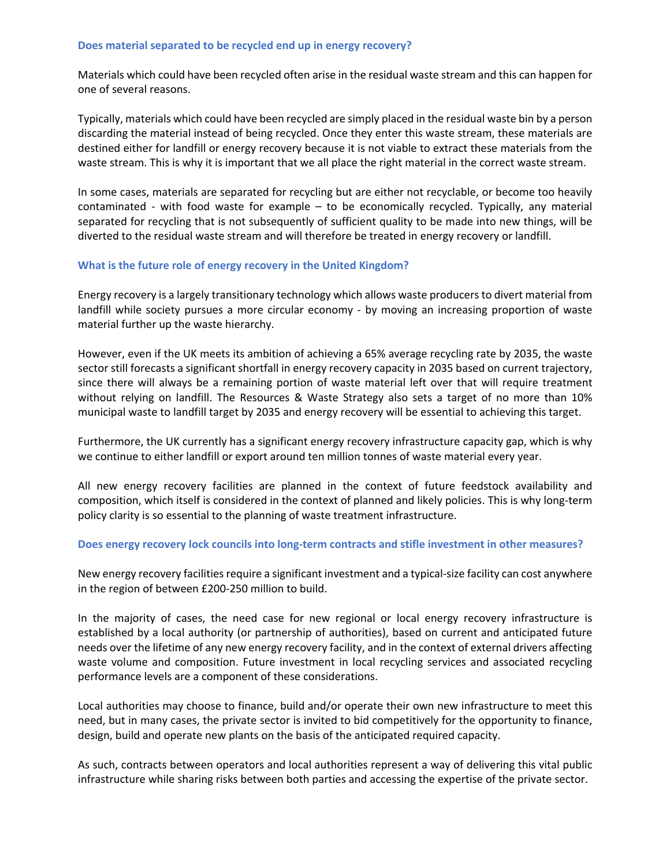#### **Does material separated to be recycled end up in energy recovery?**

Materials which could have been recycled often arise in the residual waste stream and this can happen for one of several reasons.

Typically, materials which could have been recycled are simply placed in the residual waste bin by a person discarding the material instead of being recycled. Once they enter this waste stream, these materials are destined either for landfill or energy recovery because it is not viable to extract these materials from the waste stream. This is why it is important that we all place the right material in the correct waste stream.

In some cases, materials are separated for recycling but are either not recyclable, or become too heavily contaminated - with food waste for example – to be economically recycled. Typically, any material separated for recycling that is not subsequently of sufficient quality to be made into new things, will be diverted to the residual waste stream and will therefore be treated in energy recovery or landfill.

#### **What is the future role of energy recovery in the United Kingdom?**

Energy recovery is a largely transitionary technology which allows waste producersto divert material from landfill while society pursues a more circular economy - by moving an increasing proportion of waste material further up the waste hierarchy.

However, even if the UK meets its ambition of achieving a 65% average recycling rate by 2035, the waste sector still forecasts a significant shortfall in energy recovery capacity in 2035 based on current trajectory, since there will always be a remaining portion of waste material left over that will require treatment without relying on landfill. The Resources & Waste Strategy also sets a target of no more than 10% municipal waste to landfill target by 2035 and energy recovery will be essential to achieving this target.

Furthermore, the UK currently has a significant energy recovery infrastructure capacity gap, which is why we continue to either landfill or export around ten million tonnes of waste material every year.

All new energy recovery facilities are planned in the context of future feedstock availability and composition, which itself is considered in the context of planned and likely policies. This is why long-term policy clarity is so essential to the planning of waste treatment infrastructure.

# **Does energy recovery lock councils into long-term contracts and stifle investment in other measures?**

New energy recovery facilities require a significant investment and a typical-size facility can cost anywhere in the region of between £200-250 million to build.

In the majority of cases, the need case for new regional or local energy recovery infrastructure is established by a local authority (or partnership of authorities), based on current and anticipated future needs over the lifetime of any new energy recovery facility, and in the context of external drivers affecting waste volume and composition. Future investment in local recycling services and associated recycling performance levels are a component of these considerations.

Local authorities may choose to finance, build and/or operate their own new infrastructure to meet this need, but in many cases, the private sector is invited to bid competitively for the opportunity to finance, design, build and operate new plants on the basis of the anticipated required capacity.

As such, contracts between operators and local authorities represent a way of delivering this vital public infrastructure while sharing risks between both parties and accessing the expertise of the private sector.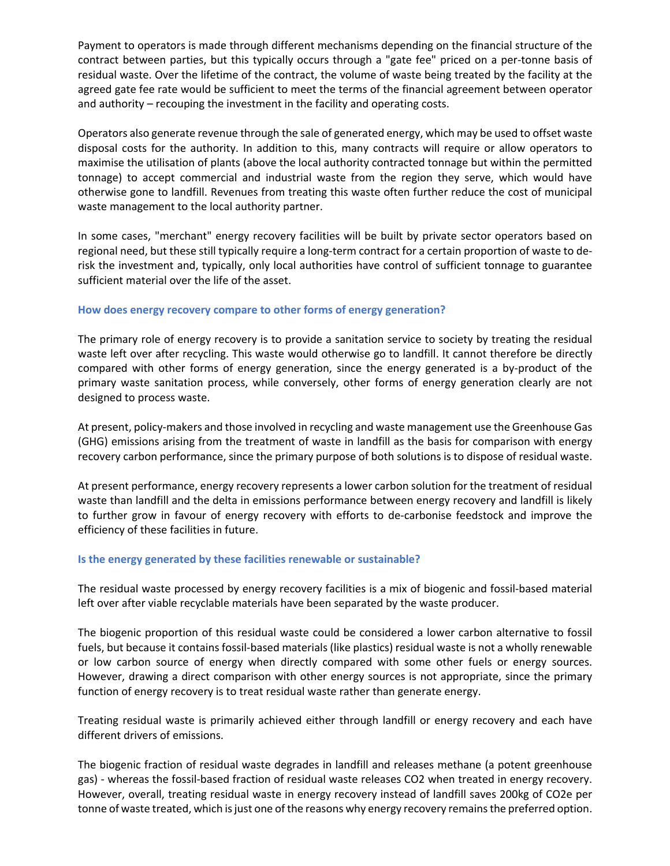Payment to operators is made through different mechanisms depending on the financial structure of the contract between parties, but this typically occurs through a "gate fee" priced on a per-tonne basis of residual waste. Over the lifetime of the contract, the volume of waste being treated by the facility at the agreed gate fee rate would be sufficient to meet the terms of the financial agreement between operator and authority – recouping the investment in the facility and operating costs.

Operators also generate revenue through the sale of generated energy, which may be used to offset waste disposal costs for the authority. In addition to this, many contracts will require or allow operators to maximise the utilisation of plants (above the local authority contracted tonnage but within the permitted tonnage) to accept commercial and industrial waste from the region they serve, which would have otherwise gone to landfill. Revenues from treating this waste often further reduce the cost of municipal waste management to the local authority partner.

In some cases, "merchant" energy recovery facilities will be built by private sector operators based on regional need, but these still typically require a long-term contract for a certain proportion of waste to derisk the investment and, typically, only local authorities have control of sufficient tonnage to guarantee sufficient material over the life of the asset.

#### **How does energy recovery compare to other forms of energy generation?**

The primary role of energy recovery is to provide a sanitation service to society by treating the residual waste left over after recycling. This waste would otherwise go to landfill. It cannot therefore be directly compared with other forms of energy generation, since the energy generated is a by-product of the primary waste sanitation process, while conversely, other forms of energy generation clearly are not designed to process waste.

At present, policy-makers and those involved in recycling and waste management use the Greenhouse Gas (GHG) emissions arising from the treatment of waste in landfill as the basis for comparison with energy recovery carbon performance, since the primary purpose of both solutions is to dispose of residual waste.

At present performance, energy recovery represents a lower carbon solution for the treatment of residual waste than landfill and the delta in emissions performance between energy recovery and landfill is likely to further grow in favour of energy recovery with efforts to de-carbonise feedstock and improve the efficiency of these facilities in future.

# **Is the energy generated by these facilities renewable or sustainable?**

The residual waste processed by energy recovery facilities is a mix of biogenic and fossil-based material left over after viable recyclable materials have been separated by the waste producer.

The biogenic proportion of this residual waste could be considered a lower carbon alternative to fossil fuels, but because it contains fossil-based materials (like plastics) residual waste is not a wholly renewable or low carbon source of energy when directly compared with some other fuels or energy sources. However, drawing a direct comparison with other energy sources is not appropriate, since the primary function of energy recovery is to treat residual waste rather than generate energy.

Treating residual waste is primarily achieved either through landfill or energy recovery and each have different drivers of emissions.

The biogenic fraction of residual waste degrades in landfill and releases methane (a potent greenhouse gas) - whereas the fossil-based fraction of residual waste releases CO2 when treated in energy recovery. However, overall, treating residual waste in energy recovery instead of landfill saves 200kg of CO2e per tonne of waste treated, which is just one of the reasons why energy recovery remains the preferred option.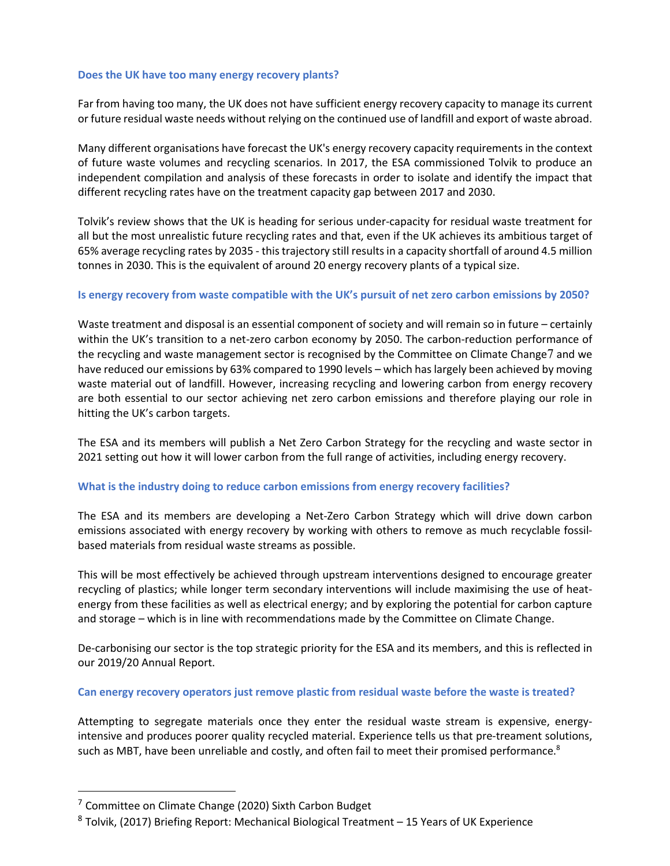#### **Does the UK have too many energy recovery plants?**

Far from having too many, the UK does not have sufficient energy recovery capacity to manage its current or future residual waste needs without relying on the continued use of landfill and export of waste abroad.

Many different organisations have forecast the UK's energy recovery capacity requirements in the context of future waste volumes and recycling scenarios. In 2017, the ESA commissioned Tolvik to produce an independent compilation and analysis of these forecasts in order to isolate and identify the impact that different recycling rates have on the treatment capacity gap between 2017 and 2030.

Tolvik's review shows that the UK is heading for serious under-capacity for residual waste treatment for all but the most unrealistic future recycling rates and that, even if the UK achieves its ambitious target of 65% average recycling rates by 2035 - this trajectory still results in a capacity shortfall of around 4.5 million tonnes in 2030. This is the equivalent of around 20 energy recovery plants of a typical size.

#### **Is energy recovery from waste compatible with the UK's pursuit of net zero carbon emissions by 2050?**

Waste treatment and disposal is an essential component of society and will remain so in future – certainly within the UK's transition to a net-zero carbon economy by 2050. The carbon-reduction performance of the recycling and waste management sector is recognised by the Committee on Climate Change7 and we have reduced our emissions by 63% compared to 1990 levels – which has largely been achieved by moving waste material out of landfill. However, increasing recycling and lowering carbon from energy recovery are both essential to our sector achieving net zero carbon emissions and therefore playing our role in hitting the UK's carbon targets.

The ESA and its members will publish a Net Zero Carbon Strategy for the recycling and waste sector in 2021 setting out how it will lower carbon from the full range of activities, including energy recovery.

# **What is the industry doing to reduce carbon emissions from energy recovery facilities?**

The ESA and its members are developing a Net-Zero Carbon Strategy which will drive down carbon emissions associated with energy recovery by working with others to remove as much recyclable fossilbased materials from residual waste streams as possible.

This will be most effectively be achieved through upstream interventions designed to encourage greater recycling of plastics; while longer term secondary interventions will include maximising the use of heatenergy from these facilities as well as electrical energy; and by exploring the potential for carbon capture and storage – which is in line with recommendations made by the Committee on Climate Change.

De-carbonising our sector is the top strategic priority for the ESA and its members, and this is reflected in our 2019/20 Annual Report.

#### **Can energy recovery operators just remove plastic from residual waste before the waste is treated?**

Attempting to segregate materials once they enter the residual waste stream is expensive, energyintensive and produces poorer quality recycled material. Experience tells us that pre-treament solutions, such as MBT, have been unreliable and costly, and often fail to meet their promised performance.<sup>8</sup>

<sup>&</sup>lt;sup>7</sup> Committee on Climate Change (2020) Sixth Carbon Budget

 $8$  Tolvik, (2017) Briefing Report: Mechanical Biological Treatment  $-15$  Years of UK Experience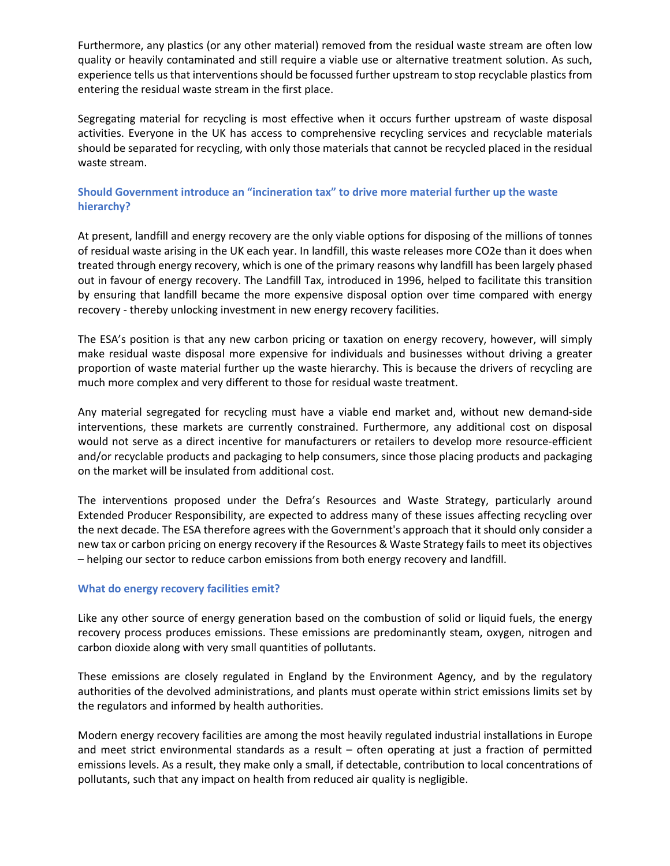Furthermore, any plastics (or any other material) removed from the residual waste stream are often low quality or heavily contaminated and still require a viable use or alternative treatment solution. As such, experience tells us that interventions should be focussed further upstream to stop recyclable plastics from entering the residual waste stream in the first place.

Segregating material for recycling is most effective when it occurs further upstream of waste disposal activities. Everyone in the UK has access to comprehensive recycling services and recyclable materials should be separated for recycling, with only those materials that cannot be recycled placed in the residual waste stream.

# **Should Government introduce an "incineration tax" to drive more material further up the waste hierarchy?**

At present, landfill and energy recovery are the only viable options for disposing of the millions of tonnes of residual waste arising in the UK each year. In landfill, this waste releases more CO2e than it does when treated through energy recovery, which is one of the primary reasons why landfill has been largely phased out in favour of energy recovery. The Landfill Tax, introduced in 1996, helped to facilitate this transition by ensuring that landfill became the more expensive disposal option over time compared with energy recovery - thereby unlocking investment in new energy recovery facilities.

The ESA's position is that any new carbon pricing or taxation on energy recovery, however, will simply make residual waste disposal more expensive for individuals and businesses without driving a greater proportion of waste material further up the waste hierarchy. This is because the drivers of recycling are much more complex and very different to those for residual waste treatment.

Any material segregated for recycling must have a viable end market and, without new demand-side interventions, these markets are currently constrained. Furthermore, any additional cost on disposal would not serve as a direct incentive for manufacturers or retailers to develop more resource-efficient and/or recyclable products and packaging to help consumers, since those placing products and packaging on the market will be insulated from additional cost.

The interventions proposed under the Defra's Resources and Waste Strategy, particularly around Extended Producer Responsibility, are expected to address many of these issues affecting recycling over the next decade. The ESA therefore agrees with the Government's approach that it should only consider a new tax or carbon pricing on energy recovery if the Resources & Waste Strategy fails to meet its objectives – helping our sector to reduce carbon emissions from both energy recovery and landfill.

# **What do energy recovery facilities emit?**

Like any other source of energy generation based on the combustion of solid or liquid fuels, the energy recovery process produces emissions. These emissions are predominantly steam, oxygen, nitrogen and carbon dioxide along with very small quantities of pollutants.

These emissions are closely regulated in England by the Environment Agency, and by the regulatory authorities of the devolved administrations, and plants must operate within strict emissions limits set by the regulators and informed by health authorities.

Modern energy recovery facilities are among the most heavily regulated industrial installations in Europe and meet strict environmental standards as a result – often operating at just a fraction of permitted emissions levels. As a result, they make only a small, if detectable, contribution to local concentrations of pollutants, such that any impact on health from reduced air quality is negligible.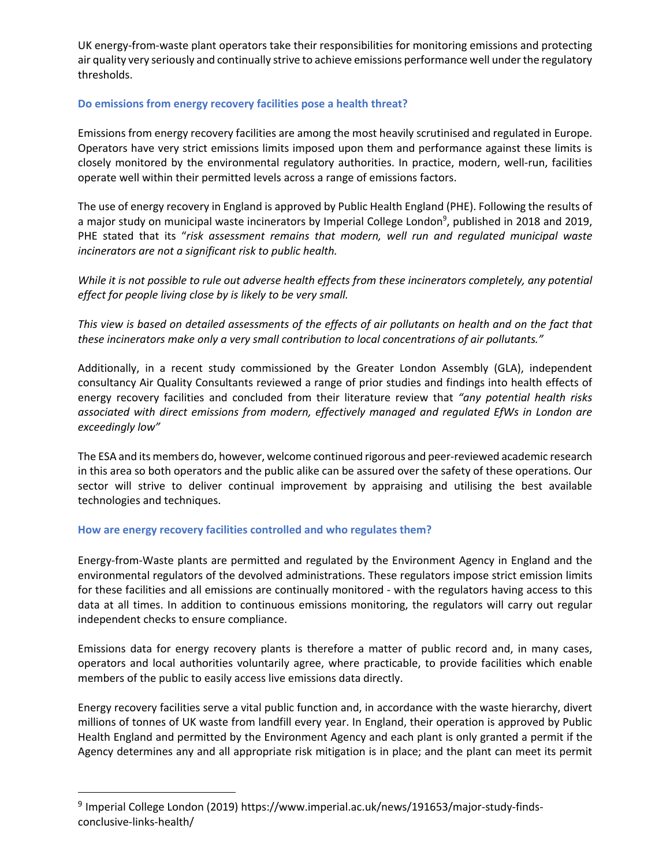UK energy-from-waste plant operators take their responsibilities for monitoring emissions and protecting air quality very seriously and continually strive to achieve emissions performance well under the regulatory thresholds.

# **Do emissions from energy recovery facilities pose a health threat?**

Emissions from energy recovery facilities are among the most heavily scrutinised and regulated in Europe. Operators have very strict emissions limits imposed upon them and performance against these limits is closely monitored by the environmental regulatory authorities. In practice, modern, well-run, facilities operate well within their permitted levels across a range of emissions factors.

The use of energy recovery in England is approved by Public Health England (PHE). Following the results of a major study on municipal waste incinerators by Imperial College London<sup>9</sup>, published in 2018 and 2019, PHE stated that its "*risk assessment remains that modern, well run and regulated municipal waste incinerators are not a significant risk to public health.* 

*While it is not possible to rule out adverse health effects from these incinerators completely, any potential effect for people living close by is likely to be very small.*

*This view is based on detailed assessments of the effects of air pollutants on health and on the fact that these incinerators make only a very small contribution to local concentrations of air pollutants."*

Additionally, in a recent study commissioned by the Greater London Assembly (GLA), independent consultancy Air Quality Consultants reviewed a range of prior studies and findings into health effects of energy recovery facilities and concluded from their literature review that *"any potential health risks associated with direct emissions from modern, effectively managed and regulated EfWs in London are exceedingly low"* 

The ESA and its members do, however, welcome continued rigorous and peer-reviewed academic research in this area so both operators and the public alike can be assured over the safety of these operations. Our sector will strive to deliver continual improvement by appraising and utilising the best available technologies and techniques.

# **How are energy recovery facilities controlled and who regulates them?**

Energy-from-Waste plants are permitted and regulated by the Environment Agency in England and the environmental regulators of the devolved administrations. These regulators impose strict emission limits for these facilities and all emissions are continually monitored - with the regulators having access to this data at all times. In addition to continuous emissions monitoring, the regulators will carry out regular independent checks to ensure compliance.

Emissions data for energy recovery plants is therefore a matter of public record and, in many cases, operators and local authorities voluntarily agree, where practicable, to provide facilities which enable members of the public to easily access live emissions data directly.

Energy recovery facilities serve a vital public function and, in accordance with the waste hierarchy, divert millions of tonnes of UK waste from landfill every year. In England, their operation is approved by Public Health England and permitted by the Environment Agency and each plant is only granted a permit if the Agency determines any and all appropriate risk mitigation is in place; and the plant can meet its permit

<sup>9</sup> Imperial College London (2019) https://www.imperial.ac.uk/news/191653/major-study-findsconclusive-links-health/